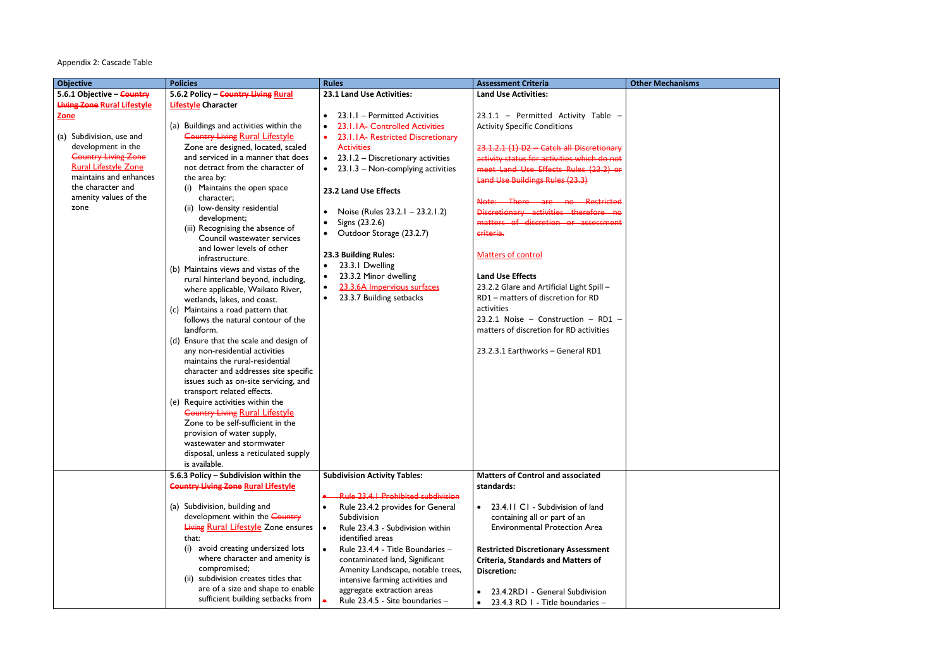## Appendix 2: Cascade Table

| <b>Objective</b>                   | <b>Policies</b>                                                              | <b>Rules</b>                                   | <b>Assessment Criteria</b>                  | <b>Other Mechanisms</b> |
|------------------------------------|------------------------------------------------------------------------------|------------------------------------------------|---------------------------------------------|-------------------------|
| 5.6.1 Objective - Country          | 5.6.2 Policy - Country Living Rural                                          | 23.1 Land Use Activities:                      | <b>Land Use Activities:</b>                 |                         |
| <b>Living Zone Rural Lifestyle</b> | <b>Lifestyle Character</b>                                                   |                                                |                                             |                         |
| <b>Zone</b>                        |                                                                              | 23.1.1 - Permitted Activities<br>$\bullet$     | 23.1.1 - Permitted Activity Table -         |                         |
|                                    | (a) Buildings and activities within the                                      | 23.1.1A- Controlled Activities                 | <b>Activity Specific Conditions</b>         |                         |
| (a) Subdivision, use and           | <b>Country Living Rural Lifestyle</b>                                        | 23.1.1A- Restricted Discretionary              |                                             |                         |
| development in the                 | Zone are designed, located, scaled                                           | <b>Activities</b>                              | 23.1.2.1 (1) D2 - Catch all Discretionary   |                         |
| <b>Country Living Zone</b>         | and serviced in a manner that does                                           | 23.1.2 - Discretionary activities<br>$\bullet$ | activity status for activities which do not |                         |
| <b>Rural Lifestyle Zone</b>        | not detract from the character of                                            | 23.1.3 - Non-complying activities              | meet Land Use Effects Rules (23.2) or       |                         |
| maintains and enhances             | the area by:                                                                 |                                                | <b>Land Use Buildings Rules (23.3)</b>      |                         |
| the character and                  | (i) Maintains the open space                                                 | 23.2 Land Use Effects                          |                                             |                         |
| amenity values of the              | character;                                                                   |                                                | Note: There are no Restricted               |                         |
| zone                               | (ii) low-density residential                                                 | Noise (Rules 23.2.1 - 23.2.1.2)                | Discretionary activities therefore no       |                         |
|                                    | development;                                                                 | Signs (23.2.6)                                 | matters of discretion or assessment         |                         |
|                                    | (iii) Recognising the absence of                                             | Outdoor Storage (23.2.7)                       | criteria.                                   |                         |
|                                    | Council wastewater services                                                  |                                                |                                             |                         |
|                                    | and lower levels of other                                                    | 23.3 Building Rules:                           | <b>Matters of control</b>                   |                         |
|                                    | infrastructure.                                                              | 23.3.1 Dwelling                                |                                             |                         |
|                                    | (b) Maintains views and vistas of the<br>rural hinterland beyond, including, | 23.3.2 Minor dwelling<br>٠                     | <b>Land Use Effects</b>                     |                         |
|                                    | where applicable, Waikato River,                                             | 23.3.6A Impervious surfaces<br>$\bullet$       | 23.2.2 Glare and Artificial Light Spill -   |                         |
|                                    | wetlands, lakes, and coast.                                                  | 23.3.7 Building setbacks                       | RD1 - matters of discretion for RD          |                         |
|                                    | (c) Maintains a road pattern that                                            |                                                | activities                                  |                         |
|                                    | follows the natural contour of the                                           |                                                | 23.2.1 Noise - Construction - RD1 -         |                         |
|                                    | landform.                                                                    |                                                | matters of discretion for RD activities     |                         |
|                                    | (d) Ensure that the scale and design of                                      |                                                |                                             |                         |
|                                    | any non-residential activities                                               |                                                | 23.2.3.1 Earthworks - General RD1           |                         |
|                                    | maintains the rural-residential                                              |                                                |                                             |                         |
|                                    | character and addresses site specific                                        |                                                |                                             |                         |
|                                    | issues such as on-site servicing, and                                        |                                                |                                             |                         |
|                                    | transport related effects.                                                   |                                                |                                             |                         |
|                                    | (e) Require activities within the                                            |                                                |                                             |                         |
|                                    | <b>Country Living Rural Lifestyle</b>                                        |                                                |                                             |                         |
|                                    | Zone to be self-sufficient in the                                            |                                                |                                             |                         |
|                                    | provision of water supply,                                                   |                                                |                                             |                         |
|                                    | wastewater and stormwater                                                    |                                                |                                             |                         |
|                                    | disposal, unless a reticulated supply                                        |                                                |                                             |                         |
|                                    | is available.                                                                |                                                |                                             |                         |
|                                    | 5.6.3 Policy - Subdivision within the                                        | <b>Subdivision Activity Tables:</b>            | <b>Matters of Control and associated</b>    |                         |
|                                    | <b>Country Living Zone Rural Lifestyle</b>                                   |                                                | standards:                                  |                         |
|                                    |                                                                              | <b>Rule 23.4.1 Prohibited subdivision</b>      |                                             |                         |
|                                    | (a) Subdivision, building and                                                | Rule 23.4.2 provides for General               | 23.4.11 C1 - Subdivision of land            |                         |
|                                    | development within the Country                                               | Subdivision                                    | containing all or part of an                |                         |
|                                    | <b>Living Rural Lifestyle Zone ensures</b>                                   | Rule 23.4.3 - Subdivision within<br>$\bullet$  | <b>Environmental Protection Area</b>        |                         |
|                                    | that:                                                                        | identified areas                               |                                             |                         |
|                                    | avoid creating undersized lots<br>(i)                                        | Rule 23.4.4 - Title Boundaries -               | <b>Restricted Discretionary Assessment</b>  |                         |
|                                    | where character and amenity is                                               | contaminated land, Significant                 | <b>Criteria, Standards and Matters of</b>   |                         |
|                                    | compromised;                                                                 | Amenity Landscape, notable trees,              | <b>Discretion:</b>                          |                         |
|                                    | (ii) subdivision creates titles that                                         | intensive farming activities and               |                                             |                         |
|                                    | are of a size and shape to enable                                            | aggregate extraction areas                     | 23.4.2RD1 - General Subdivision             |                         |
|                                    | sufficient building setbacks from                                            | Rule 23.4.5 - Site boundaries -                | 23.4.3 RD I - Title boundaries -            |                         |

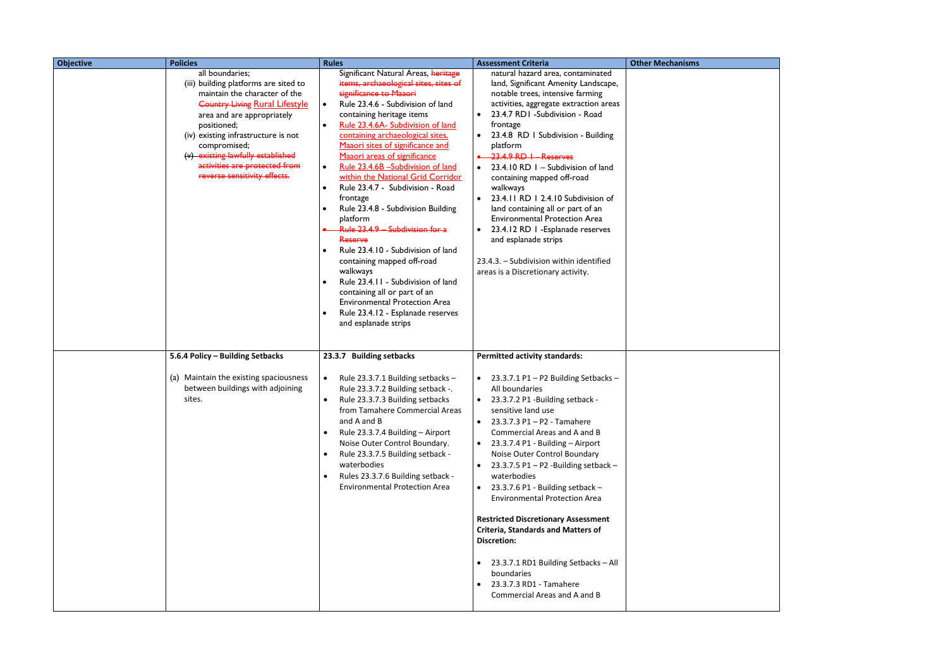| <b>Objective</b> | <b>Policies</b>                                                                                                                                                                                                                                                                                                                              | <b>Rules</b>                                                                                                                                                                                                                                                                                                                                                                                                                                                                                                                                                                                                                                                                                                                                                                                                                                                   | <b>Assessment Criteria</b>                                                                                                                                                                                                                                                                                                                                                                                                                                                                                                                                                                                                                                                                                                                                 | <b>Other Mechanisms</b> |
|------------------|----------------------------------------------------------------------------------------------------------------------------------------------------------------------------------------------------------------------------------------------------------------------------------------------------------------------------------------------|----------------------------------------------------------------------------------------------------------------------------------------------------------------------------------------------------------------------------------------------------------------------------------------------------------------------------------------------------------------------------------------------------------------------------------------------------------------------------------------------------------------------------------------------------------------------------------------------------------------------------------------------------------------------------------------------------------------------------------------------------------------------------------------------------------------------------------------------------------------|------------------------------------------------------------------------------------------------------------------------------------------------------------------------------------------------------------------------------------------------------------------------------------------------------------------------------------------------------------------------------------------------------------------------------------------------------------------------------------------------------------------------------------------------------------------------------------------------------------------------------------------------------------------------------------------------------------------------------------------------------------|-------------------------|
|                  | all boundaries;<br>(iii) building platforms are sited to<br>maintain the character of the<br><b>Country Living Rural Lifestyle</b><br>area and are appropriately<br>positioned;<br>(iv) existing infrastructure is not<br>compromised;<br>(v) existing lawfully established<br>activities are protected from<br>reverse sensitivity effects. | Significant Natural Areas, heritage<br>items, archaeological sites, sites of<br>significance to Maaori<br>Rule 23.4.6 - Subdivision of land<br>$\bullet$<br>containing heritage items<br>Rule 23.4.6A- Subdivision of land<br>$\bullet$<br>containing archaeological sites.<br>Maaori sites of significance and<br>Maaori areas of significance<br>Rule 23.4.6B -Subdivision of land<br>$\bullet$<br>within the National Grid Corridor<br>Rule 23.4.7 - Subdivision - Road<br>$\bullet$<br>frontage<br>Rule 23.4.8 - Subdivision Building<br>platform<br>Rule 23.4.9 - Subdivision for a<br>Reserve<br>Rule 23.4.10 - Subdivision of land<br>containing mapped off-road<br>walkways<br>Rule 23.4.11 - Subdivision of land<br>containing all or part of an<br><b>Environmental Protection Area</b><br>Rule 23.4.12 - Esplanade reserves<br>and esplanade strips | natural hazard area, contaminated<br>land, Significant Amenity Landscape,<br>notable trees, intensive farming<br>activities, aggregate extraction areas<br>23.4.7 RD1 -Subdivision - Road<br>frontage<br>23.4.8 RD I Subdivision - Building<br>platform<br>$23.4.9$ RD $\overline{1}$ - Reserves<br>23.4.10 RD 1 - Subdivision of land<br>containing mapped off-road<br>walkways<br>23.4.11 RD 1 2.4.10 Subdivision of<br>land containing all or part of an<br><b>Environmental Protection Area</b><br>23.4.12 RD 1 - Esplanade reserves<br>$\bullet$<br>and esplanade strips<br>23.4.3. - Subdivision within identified<br>areas is a Discretionary activity.                                                                                             |                         |
|                  | 5.6.4 Policy - Building Setbacks<br>(a) Maintain the existing spaciousness<br>between buildings with adjoining<br>sites.                                                                                                                                                                                                                     | 23.3.7 Building setbacks<br>Rule 23.3.7.1 Building setbacks -<br>$\bullet$<br>Rule 23.3.7.2 Building setback -.<br>Rule 23.3.7.3 Building setbacks<br>$\bullet$<br>from Tamahere Commercial Areas<br>and A and B<br>Rule 23.3.7.4 Building - Airport<br>Noise Outer Control Boundary.<br>Rule 23.3.7.5 Building setback -<br>$\bullet$<br>waterbodies<br>Rules 23.3.7.6 Building setback -<br><b>Environmental Protection Area</b>                                                                                                                                                                                                                                                                                                                                                                                                                             | <b>Permitted activity standards:</b><br>23.3.7.1 P1 - P2 Building Setbacks -<br>$\bullet$<br>All boundaries<br>23.3.7.2 P1 -Building setback -<br>$\bullet$<br>sensitive land use<br>23.3.7.3 P1 - P2 - Tamahere<br>$\bullet$<br>Commercial Areas and A and B<br>23.3.7.4 P1 - Building - Airport<br>$\bullet$<br>Noise Outer Control Boundary<br>23.3.7.5 P1 - P2 -Building setback -<br>waterbodies<br>23.3.7.6 P1 - Building setback -<br>$\bullet$<br><b>Environmental Protection Area</b><br><b>Restricted Discretionary Assessment</b><br><b>Criteria, Standards and Matters of</b><br><b>Discretion:</b><br>23.3.7.1 RD1 Building Setbacks - All<br>$\bullet$<br>boundaries<br>23.3.7.3 RD1 - Tamahere<br>$\bullet$<br>Commercial Areas and A and B |                         |

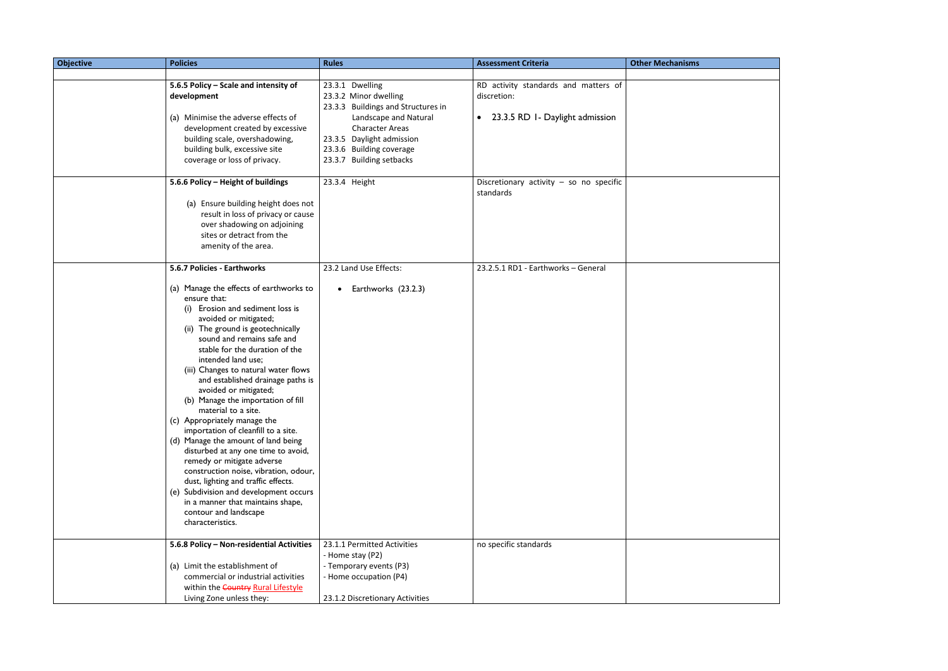| <b>Objective</b> | <b>Policies</b>                                                             | <b>Rules</b>                       | <b>Assessment Criteria</b>                | <b>Other Mechanisms</b> |
|------------------|-----------------------------------------------------------------------------|------------------------------------|-------------------------------------------|-------------------------|
|                  |                                                                             |                                    |                                           |                         |
|                  | 5.6.5 Policy - Scale and intensity of                                       | 23.3.1 Dwelling                    | RD activity standards and matters of      |                         |
|                  | development                                                                 | 23.3.2 Minor dwelling              | discretion:                               |                         |
|                  |                                                                             | 23.3.3 Buildings and Structures in |                                           |                         |
|                  | (a) Minimise the adverse effects of                                         | Landscape and Natural              | • 23.3.5 RD 1- Daylight admission         |                         |
|                  | development created by excessive                                            | <b>Character Areas</b>             |                                           |                         |
|                  | building scale, overshadowing,                                              | 23.3.5 Daylight admission          |                                           |                         |
|                  | building bulk, excessive site                                               | 23.3.6 Building coverage           |                                           |                         |
|                  | coverage or loss of privacy.                                                | 23.3.7 Building setbacks           |                                           |                         |
|                  |                                                                             |                                    |                                           |                         |
|                  | 5.6.6 Policy - Height of buildings                                          | 23.3.4 Height                      | Discretionary activity $-$ so no specific |                         |
|                  |                                                                             |                                    | standards                                 |                         |
|                  | (a) Ensure building height does not                                         |                                    |                                           |                         |
|                  | result in loss of privacy or cause                                          |                                    |                                           |                         |
|                  | over shadowing on adjoining                                                 |                                    |                                           |                         |
|                  | sites or detract from the                                                   |                                    |                                           |                         |
|                  | amenity of the area.                                                        |                                    |                                           |                         |
|                  |                                                                             |                                    |                                           |                         |
|                  | 5.6.7 Policies - Earthworks                                                 | 23.2 Land Use Effects:             | 23.2.5.1 RD1 - Earthworks - General       |                         |
|                  |                                                                             |                                    |                                           |                         |
|                  | (a) Manage the effects of earthworks to                                     | Earthworks (23.2.3)<br>$\bullet$   |                                           |                         |
|                  | ensure that:<br>(i) Erosion and sediment loss is                            |                                    |                                           |                         |
|                  | avoided or mitigated;                                                       |                                    |                                           |                         |
|                  | (ii) The ground is geotechnically                                           |                                    |                                           |                         |
|                  | sound and remains safe and                                                  |                                    |                                           |                         |
|                  | stable for the duration of the                                              |                                    |                                           |                         |
|                  | intended land use;                                                          |                                    |                                           |                         |
|                  | (iii) Changes to natural water flows                                        |                                    |                                           |                         |
|                  | and established drainage paths is                                           |                                    |                                           |                         |
|                  | avoided or mitigated;                                                       |                                    |                                           |                         |
|                  | (b) Manage the importation of fill                                          |                                    |                                           |                         |
|                  | material to a site.                                                         |                                    |                                           |                         |
|                  | (c) Appropriately manage the                                                |                                    |                                           |                         |
|                  | importation of cleanfill to a site.                                         |                                    |                                           |                         |
|                  | (d) Manage the amount of land being                                         |                                    |                                           |                         |
|                  | disturbed at any one time to avoid,                                         |                                    |                                           |                         |
|                  | remedy or mitigate adverse                                                  |                                    |                                           |                         |
|                  | construction noise, vibration, odour,                                       |                                    |                                           |                         |
|                  | dust, lighting and traffic effects.                                         |                                    |                                           |                         |
|                  | (e) Subdivision and development occurs<br>in a manner that maintains shape, |                                    |                                           |                         |
|                  | contour and landscape                                                       |                                    |                                           |                         |
|                  | characteristics.                                                            |                                    |                                           |                         |
|                  |                                                                             |                                    |                                           |                         |
|                  | 5.6.8 Policy - Non-residential Activities                                   | 23.1.1 Permitted Activities        | no specific standards                     |                         |
|                  |                                                                             | - Home stay (P2)                   |                                           |                         |
|                  | (a) Limit the establishment of                                              | - Temporary events (P3)            |                                           |                         |
|                  | commercial or industrial activities                                         | - Home occupation (P4)             |                                           |                         |
|                  | within the Country Rural Lifestyle                                          |                                    |                                           |                         |
|                  | Living Zone unless they:                                                    | 23.1.2 Discretionary Activities    |                                           |                         |

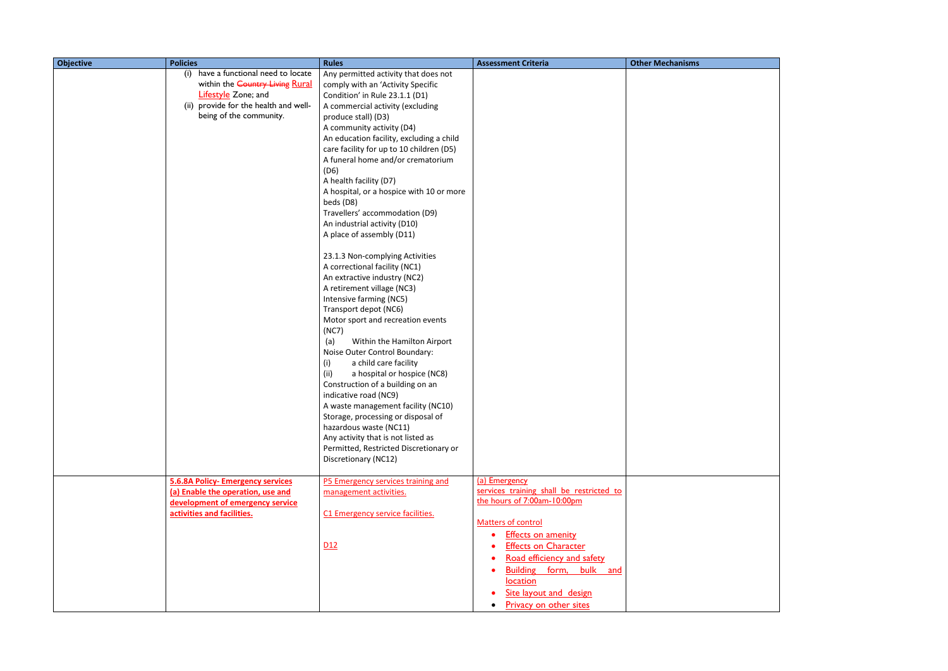| <b>Objective</b> | <b>Policies</b>                                                                                                                                                          | <b>Rules</b>                                                                                                                                                                                                                                                                                                                                                                                                                                                                                                                                                                                                                                                                                                                                                                                                                                                                                                                                                                                                                                                                                                                                                    | <b>Assessment Criteria</b>                                                                                                                                                              | <b>Other Mechanisms</b> |
|------------------|--------------------------------------------------------------------------------------------------------------------------------------------------------------------------|-----------------------------------------------------------------------------------------------------------------------------------------------------------------------------------------------------------------------------------------------------------------------------------------------------------------------------------------------------------------------------------------------------------------------------------------------------------------------------------------------------------------------------------------------------------------------------------------------------------------------------------------------------------------------------------------------------------------------------------------------------------------------------------------------------------------------------------------------------------------------------------------------------------------------------------------------------------------------------------------------------------------------------------------------------------------------------------------------------------------------------------------------------------------|-----------------------------------------------------------------------------------------------------------------------------------------------------------------------------------------|-------------------------|
|                  | have a functional need to locate<br>(i)<br>within the Country Living Rural<br>Lifestyle Zone; and<br>provide for the health and well-<br>(ii)<br>being of the community. | Any permitted activity that does not<br>comply with an 'Activity Specific<br>Condition' in Rule 23.1.1 (D1)<br>A commercial activity (excluding<br>produce stall) (D3)<br>A community activity (D4)<br>An education facility, excluding a child<br>care facility for up to 10 children (D5)<br>A funeral home and/or crematorium<br>(D6)<br>A health facility (D7)<br>A hospital, or a hospice with 10 or more<br>beds (D8)<br>Travellers' accommodation (D9)<br>An industrial activity (D10)<br>A place of assembly (D11)<br>23.1.3 Non-complying Activities<br>A correctional facility (NC1)<br>An extractive industry (NC2)<br>A retirement village (NC3)<br>Intensive farming (NC5)<br>Transport depot (NC6)<br>Motor sport and recreation events<br>(NC7)<br>(a)<br>Within the Hamilton Airport<br>Noise Outer Control Boundary:<br>a child care facility<br>(i)<br>a hospital or hospice (NC8)<br>(ii)<br>Construction of a building on an<br>indicative road (NC9)<br>A waste management facility (NC10)<br>Storage, processing or disposal of<br>hazardous waste (NC11)<br>Any activity that is not listed as<br>Permitted, Restricted Discretionary or |                                                                                                                                                                                         |                         |
|                  |                                                                                                                                                                          | Discretionary (NC12)                                                                                                                                                                                                                                                                                                                                                                                                                                                                                                                                                                                                                                                                                                                                                                                                                                                                                                                                                                                                                                                                                                                                            |                                                                                                                                                                                         |                         |
|                  | <b>5.6.8A Policy- Emergency services</b><br>(a) Enable the operation, use and<br>development of emergency service<br>activities and facilities.                          | P5 Emergency services training and<br>management activities.<br>C1 Emergency service facilities.<br>D12                                                                                                                                                                                                                                                                                                                                                                                                                                                                                                                                                                                                                                                                                                                                                                                                                                                                                                                                                                                                                                                         | (a) Emergency<br>services training shall be restricted to<br>the hours of 7:00am-10:00pm<br>Matters of control<br><b>Effects on amenity</b><br>$\bullet$<br><b>Effects on Character</b> |                         |
|                  |                                                                                                                                                                          |                                                                                                                                                                                                                                                                                                                                                                                                                                                                                                                                                                                                                                                                                                                                                                                                                                                                                                                                                                                                                                                                                                                                                                 | Road efficiency and safety<br>Building form, bulk and<br>$\bullet$<br>location<br>Site layout and design<br><b>Privacy on other sites</b><br>$\bullet$                                  |                         |

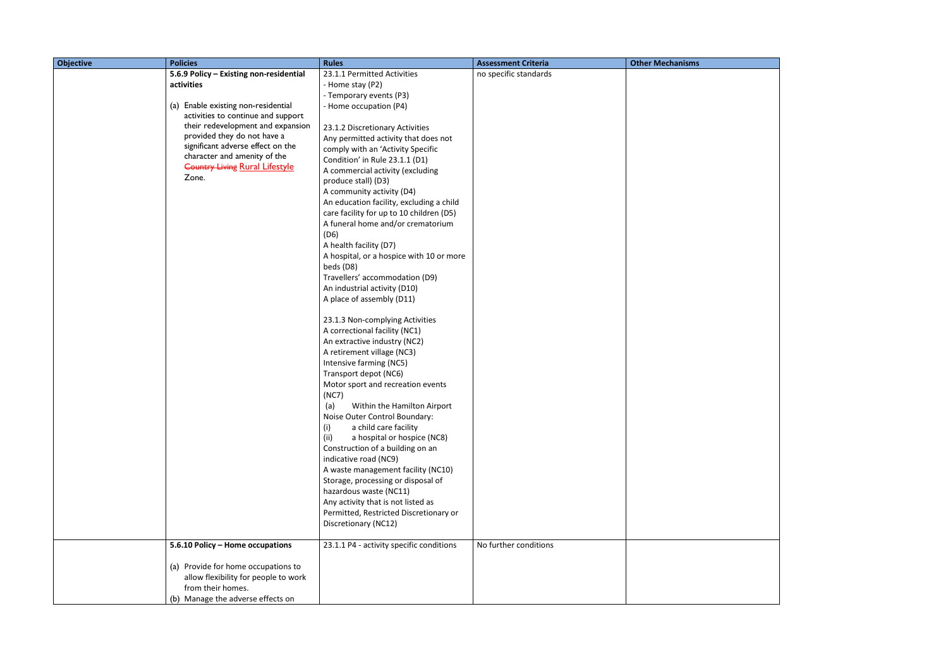| <b>Objective</b> | <b>Policies</b>                                                       | <b>Rules</b>                                                   | <b>Assessment Criteria</b> | <b>Other Mechanisms</b> |
|------------------|-----------------------------------------------------------------------|----------------------------------------------------------------|----------------------------|-------------------------|
|                  | 5.6.9 Policy - Existing non-residential                               | 23.1.1 Permitted Activities                                    | no specific standards      |                         |
|                  | activities                                                            | - Home stay (P2)                                               |                            |                         |
|                  |                                                                       | - Temporary events (P3)                                        |                            |                         |
|                  | (a) Enable existing non-residential                                   | - Home occupation (P4)                                         |                            |                         |
|                  | activities to continue and support                                    |                                                                |                            |                         |
|                  | their redevelopment and expansion                                     | 23.1.2 Discretionary Activities                                |                            |                         |
|                  | provided they do not have a                                           | Any permitted activity that does not                           |                            |                         |
|                  | significant adverse effect on the                                     | comply with an 'Activity Specific                              |                            |                         |
|                  | character and amenity of the<br><b>Country Living Rural Lifestyle</b> | Condition' in Rule 23.1.1 (D1)                                 |                            |                         |
|                  | Zone.                                                                 | A commercial activity (excluding                               |                            |                         |
|                  |                                                                       | produce stall) (D3)                                            |                            |                         |
|                  |                                                                       | A community activity (D4)                                      |                            |                         |
|                  |                                                                       | An education facility, excluding a child                       |                            |                         |
|                  |                                                                       | care facility for up to 10 children (D5)                       |                            |                         |
|                  |                                                                       | A funeral home and/or crematorium                              |                            |                         |
|                  |                                                                       | (D6)                                                           |                            |                         |
|                  |                                                                       | A health facility (D7)                                         |                            |                         |
|                  |                                                                       | A hospital, or a hospice with 10 or more                       |                            |                         |
|                  |                                                                       | beds (D8)                                                      |                            |                         |
|                  |                                                                       | Travellers' accommodation (D9)<br>An industrial activity (D10) |                            |                         |
|                  |                                                                       | A place of assembly (D11)                                      |                            |                         |
|                  |                                                                       |                                                                |                            |                         |
|                  |                                                                       | 23.1.3 Non-complying Activities                                |                            |                         |
|                  |                                                                       | A correctional facility (NC1)                                  |                            |                         |
|                  |                                                                       | An extractive industry (NC2)                                   |                            |                         |
|                  |                                                                       | A retirement village (NC3)                                     |                            |                         |
|                  |                                                                       | Intensive farming (NC5)                                        |                            |                         |
|                  |                                                                       | Transport depot (NC6)                                          |                            |                         |
|                  |                                                                       | Motor sport and recreation events                              |                            |                         |
|                  |                                                                       | (NC7)                                                          |                            |                         |
|                  |                                                                       | (a)<br>Within the Hamilton Airport                             |                            |                         |
|                  |                                                                       | Noise Outer Control Boundary:                                  |                            |                         |
|                  |                                                                       | (i)<br>a child care facility                                   |                            |                         |
|                  |                                                                       | a hospital or hospice (NC8)<br>(ii)                            |                            |                         |
|                  |                                                                       | Construction of a building on an                               |                            |                         |
|                  |                                                                       | indicative road (NC9)                                          |                            |                         |
|                  |                                                                       | A waste management facility (NC10)                             |                            |                         |
|                  |                                                                       | Storage, processing or disposal of                             |                            |                         |
|                  |                                                                       | hazardous waste (NC11)                                         |                            |                         |
|                  |                                                                       | Any activity that is not listed as                             |                            |                         |
|                  |                                                                       | Permitted, Restricted Discretionary or                         |                            |                         |
|                  |                                                                       | Discretionary (NC12)                                           |                            |                         |
|                  |                                                                       |                                                                |                            |                         |
|                  | 5.6.10 Policy - Home occupations                                      | 23.1.1 P4 - activity specific conditions                       | No further conditions      |                         |
|                  | (a) Provide for home occupations to                                   |                                                                |                            |                         |
|                  | allow flexibility for people to work                                  |                                                                |                            |                         |
|                  | from their homes.                                                     |                                                                |                            |                         |
|                  | (b) Manage the adverse effects on                                     |                                                                |                            |                         |

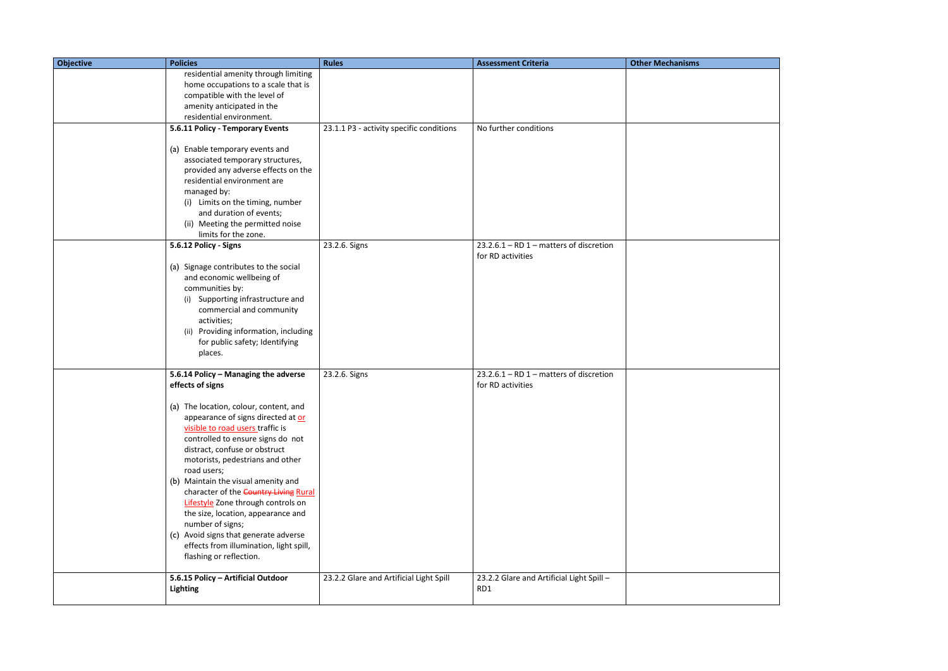| <b>Objective</b> | <b>Policies</b>                                                                                                                                                                                                                                                                                                                                                                                                                                                                                                                   | <b>Rules</b>                             | <b>Assessment Criteria</b>                                     | <b>Other Mechanisms</b> |
|------------------|-----------------------------------------------------------------------------------------------------------------------------------------------------------------------------------------------------------------------------------------------------------------------------------------------------------------------------------------------------------------------------------------------------------------------------------------------------------------------------------------------------------------------------------|------------------------------------------|----------------------------------------------------------------|-------------------------|
|                  | residential amenity through limiting                                                                                                                                                                                                                                                                                                                                                                                                                                                                                              |                                          |                                                                |                         |
|                  | home occupations to a scale that is                                                                                                                                                                                                                                                                                                                                                                                                                                                                                               |                                          |                                                                |                         |
|                  | compatible with the level of<br>amenity anticipated in the                                                                                                                                                                                                                                                                                                                                                                                                                                                                        |                                          |                                                                |                         |
|                  | residential environment.                                                                                                                                                                                                                                                                                                                                                                                                                                                                                                          |                                          |                                                                |                         |
|                  | 5.6.11 Policy - Temporary Events                                                                                                                                                                                                                                                                                                                                                                                                                                                                                                  | 23.1.1 P3 - activity specific conditions | No further conditions                                          |                         |
|                  | (a) Enable temporary events and<br>associated temporary structures,<br>provided any adverse effects on the<br>residential environment are<br>managed by:<br>(i) Limits on the timing, number<br>and duration of events;<br>(ii) Meeting the permitted noise<br>limits for the zone.<br>5.6.12 Policy - Signs<br>(a) Signage contributes to the social<br>and economic wellbeing of<br>communities by:<br>Supporting infrastructure and<br>(i)<br>commercial and community<br>activities;<br>(ii) Providing information, including | 23.2.6. Signs                            | $23.2.6.1 - RD 1$ - matters of discretion<br>for RD activities |                         |
|                  | for public safety; Identifying<br>places.                                                                                                                                                                                                                                                                                                                                                                                                                                                                                         |                                          |                                                                |                         |
|                  | 5.6.14 Policy - Managing the adverse<br>effects of signs<br>(a) The location, colour, content, and<br>appearance of signs directed at or<br>visible to road users traffic is<br>controlled to ensure signs do not                                                                                                                                                                                                                                                                                                                 | 23.2.6. Signs                            | $23.2.6.1 - RD 1$ - matters of discretion<br>for RD activities |                         |
|                  | distract, confuse or obstruct<br>motorists, pedestrians and other<br>road users;<br>(b) Maintain the visual amenity and<br>character of the Country Living Rural<br>Lifestyle Zone through controls on<br>the size, location, appearance and<br>number of signs;<br>(c) Avoid signs that generate adverse<br>effects from illumination, light spill,<br>flashing or reflection.                                                                                                                                                   |                                          |                                                                |                         |
|                  | 5.6.15 Policy - Artificial Outdoor                                                                                                                                                                                                                                                                                                                                                                                                                                                                                                | 23.2.2 Glare and Artificial Light Spill  | 23.2.2 Glare and Artificial Light Spill -                      |                         |
|                  | <b>Lighting</b>                                                                                                                                                                                                                                                                                                                                                                                                                                                                                                                   |                                          | RD1                                                            |                         |
|                  |                                                                                                                                                                                                                                                                                                                                                                                                                                                                                                                                   |                                          |                                                                |                         |

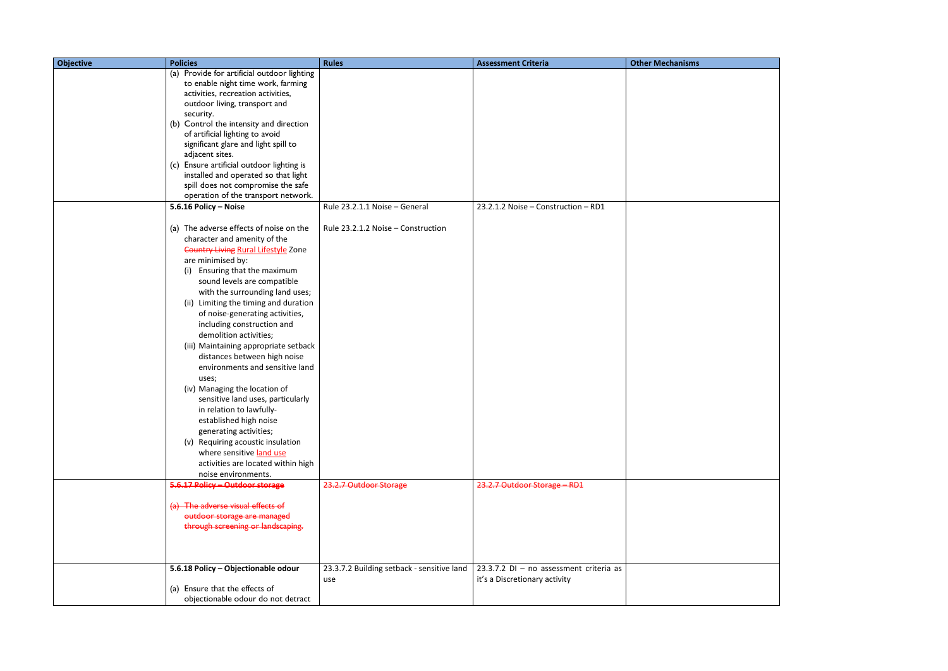| <b>Objective</b> | <b>Policies</b>                                                            | <b>Rules</b>                               | <b>Assessment Criteria</b>              | <b>Other Mechanisms</b> |
|------------------|----------------------------------------------------------------------------|--------------------------------------------|-----------------------------------------|-------------------------|
|                  | (a) Provide for artificial outdoor lighting                                |                                            |                                         |                         |
|                  | to enable night time work, farming                                         |                                            |                                         |                         |
|                  | activities, recreation activities,                                         |                                            |                                         |                         |
|                  | outdoor living, transport and                                              |                                            |                                         |                         |
|                  | security.                                                                  |                                            |                                         |                         |
|                  | (b) Control the intensity and direction                                    |                                            |                                         |                         |
|                  | of artificial lighting to avoid                                            |                                            |                                         |                         |
|                  | significant glare and light spill to                                       |                                            |                                         |                         |
|                  | adjacent sites.                                                            |                                            |                                         |                         |
|                  | (c) Ensure artificial outdoor lighting is                                  |                                            |                                         |                         |
|                  | installed and operated so that light<br>spill does not compromise the safe |                                            |                                         |                         |
|                  | operation of the transport network.                                        |                                            |                                         |                         |
|                  | 5.6.16 Policy - Noise                                                      | Rule 23.2.1.1 Noise - General              | 23.2.1.2 Noise - Construction - RD1     |                         |
|                  |                                                                            |                                            |                                         |                         |
|                  | (a) The adverse effects of noise on the                                    | Rule 23.2.1.2 Noise - Construction         |                                         |                         |
|                  | character and amenity of the                                               |                                            |                                         |                         |
|                  | <b>Country Living Rural Lifestyle Zone</b>                                 |                                            |                                         |                         |
|                  | are minimised by:                                                          |                                            |                                         |                         |
|                  | Ensuring that the maximum<br>(i)                                           |                                            |                                         |                         |
|                  | sound levels are compatible                                                |                                            |                                         |                         |
|                  | with the surrounding land uses;                                            |                                            |                                         |                         |
|                  | Limiting the timing and duration<br>(ii)                                   |                                            |                                         |                         |
|                  | of noise-generating activities,                                            |                                            |                                         |                         |
|                  | including construction and                                                 |                                            |                                         |                         |
|                  | demolition activities;                                                     |                                            |                                         |                         |
|                  | (iii) Maintaining appropriate setback                                      |                                            |                                         |                         |
|                  | distances between high noise                                               |                                            |                                         |                         |
|                  | environments and sensitive land                                            |                                            |                                         |                         |
|                  | uses;                                                                      |                                            |                                         |                         |
|                  | (iv) Managing the location of                                              |                                            |                                         |                         |
|                  | sensitive land uses, particularly                                          |                                            |                                         |                         |
|                  | in relation to lawfully-                                                   |                                            |                                         |                         |
|                  | established high noise                                                     |                                            |                                         |                         |
|                  | generating activities;                                                     |                                            |                                         |                         |
|                  | (v) Requiring acoustic insulation                                          |                                            |                                         |                         |
|                  | where sensitive land use                                                   |                                            |                                         |                         |
|                  | activities are located within high                                         |                                            |                                         |                         |
|                  | noise environments.                                                        |                                            |                                         |                         |
|                  | 5.6.17 Policy - Outdoor storage                                            | 23.2.7 Outdoor Storage                     | 23.2.7 Outdoor Storage - RD1            |                         |
|                  |                                                                            |                                            |                                         |                         |
|                  | (a) The adverse visual effects of                                          |                                            |                                         |                         |
|                  | outdoor storage are managed                                                |                                            |                                         |                         |
|                  | through screening or landscaping.                                          |                                            |                                         |                         |
|                  |                                                                            |                                            |                                         |                         |
|                  |                                                                            |                                            |                                         |                         |
|                  | 5.6.18 Policy - Objectionable odour                                        | 23.3.7.2 Building setback - sensitive land | 23.3.7.2 DI - no assessment criteria as |                         |
|                  |                                                                            | use                                        | it's a Discretionary activity           |                         |
|                  | (a) Ensure that the effects of                                             |                                            |                                         |                         |
|                  | objectionable odour do not detract                                         |                                            |                                         |                         |
|                  |                                                                            |                                            |                                         |                         |